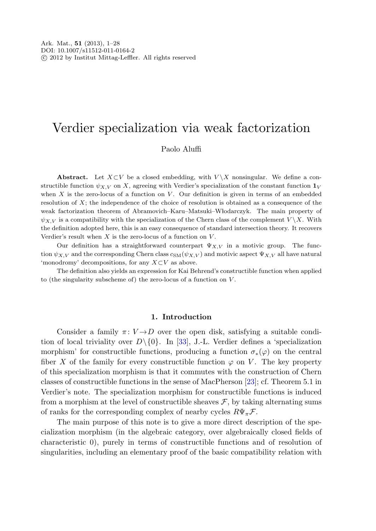# Verdier specialization via weak factorization

# Paolo Aluffi

**Abstract.** Let  $X \subset V$  be a closed embedding, with  $V \setminus X$  nonsingular. We define a constructible function  $\psi_{X,V}$  on X, agreeing with Verdier's specialization of the constant function  $\mathbf{1}_V$ when  $X$  is the zero-locus of a function on  $V$ . Our definition is given in terms of an embedded resolution of  $X$ ; the independence of the choice of resolution is obtained as a consequence of the weak factorization theorem of Abramovich–Karu–Matsuki–Wlodarczyk. The main property of  $\psi_{X,V}$  is a compatibility with the specialization of the Chern class of the complement  $V \backslash X$ . With the definition adopted here, this is an easy consequence of standard intersection theory. It recovers Verdier's result when  $X$  is the zero-locus of a function on  $V$ .

Our definition has a straightforward counterpart  $\Psi_{X,V}$  in a motivic group. The function  $\psi_{X,V}$  and the corresponding Chern class  $c_{SM}(\psi_{X,V})$  and motivic aspect  $\Psi_{X,V}$  all have natural 'monodromy' decompositions, for any  $X\subset V$  as above.

The definition also yields an expression for Kai Behrend's constructible function when applied to (the singularity subscheme of) the zero-locus of a function on  $V$ .

## **1. Introduction**

Consider a family  $\pi: V \rightarrow D$  over the open disk, satisfying a suitable condition of local triviality over  $D\setminus\{0\}$ . In [\[33](#page-27-0)], J.-L. Verdier defines a 'specialization morphism' for constructible functions, producing a function  $\sigma_*(\varphi)$  on the central fiber X of the family for every constructible function  $\varphi$  on V. The key property of this specialization morphism is that it commutes with the construction of Chern classes of constructible functions in the sense of MacPherson [\[23](#page-27-1)]; cf. Theorem 5.1 in Verdier's note. The specialization morphism for constructible functions is induced from a morphism at the level of constructible sheaves  $\mathcal{F}$ , by taking alternating sums of ranks for the corresponding complex of nearby cycles  $R\Psi_{\pi} \mathcal{F}$ .

The main purpose of this note is to give a more direct description of the specialization morphism (in the algebraic category, over algebraically closed fields of characteristic 0), purely in terms of constructible functions and of resolution of singularities, including an elementary proof of the basic compatibility relation with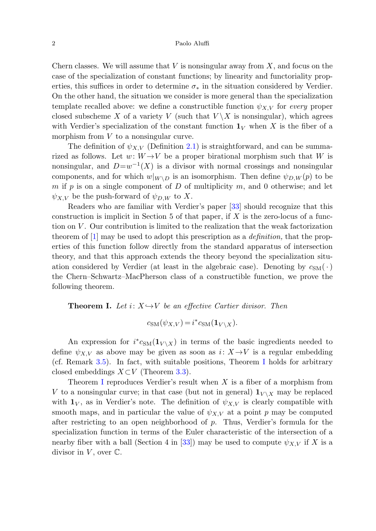Chern classes. We will assume that  $V$  is nonsingular away from  $X$ , and focus on the case of the specialization of constant functions; by linearity and functoriality properties, this suffices in order to determine  $\sigma_*$  in the situation considered by Verdier. On the other hand, the situation we consider is more general than the specialization template recalled above: we define a constructible function  $\psi_{X,V}$  for every proper closed subscheme X of a variety V (such that  $V \backslash X$  is nonsingular), which agrees with Verdier's specialization of the constant function  $\mathbf{1}_V$  when X is the fiber of a morphism from V to a nonsingular curve.

The definition of  $\psi_{X,V}$  (Definition [2.1\)](#page-5-0) is straightforward, and can be summarized as follows. Let  $w: W \rightarrow V$  be a proper birational morphism such that W is nonsingular, and  $D=w^{-1}(X)$  is a divisor with normal crossings and nonsingular components, and for which  $w|_{W\setminus D}$  is an isomorphism. Then define  $\psi_{D,W}(p)$  to be m if p is on a single component of D of multiplicity m, and 0 otherwise; and let  $\psi_{X,V}$  be the push-forward of  $\psi_{D,W}$  to X.

<span id="page-1-0"></span>Readers who are familiar with Verdier's paper [[33\]](#page-27-0) should recognize that this construction is implicit in Section 5 of that paper, if  $X$  is the zero-locus of a function on V . Our contribution is limited to the realization that the weak factorization theorem of  $[1]$  $[1]$  may be used to adopt this prescription as a *definition*, that the properties of this function follow directly from the standard apparatus of intersection theory, and that this approach extends the theory beyond the specialization situation considered by Verdier (at least in the algebraic case). Denoting by  $c_{SM}(\cdot)$ the Chern–Schwartz–MacPherson class of a constructible function, we prove the following theorem.

**Theorem I.** Let  $i: X \rightarrow V$  be an effective Cartier divisor. Then

$$
c_{\text{SM}}(\psi_{X,V}) = i^* c_{\text{SM}}(\mathbf{1}_{V \setminus X}).
$$

An expression for  $i^* c_{\text{SM}}(\mathbf{1}_{V \setminus X})$  in terms of the basic ingredients needed to define  $\psi_{X,V}$  as above may be given as soon as  $i: X \rightarrow V$  is a regular embedding (cf. Remark [3.5](#page-13-0)). In fact, with suitable positions, Theorem [I](#page-1-0) holds for arbitrary closed embeddings  $X\subset V$  (Theorem [3.3](#page-12-0)).

Theorem [I](#page-1-0) reproduces Verdier's result when X is a fiber of a morphism from V to a nonsingular curve; in that case (but not in general)  $\mathbf{1}_{V \setminus X}$  may be replaced with  $\mathbf{1}_V$ , as in Verdier's note. The definition of  $\psi_{X,V}$  is clearly compatible with smooth maps, and in particular the value of  $\psi_{X,V}$  at a point p may be computed after restricting to an open neighborhood of p. Thus, Verdier's formula for the specialization function in terms of the Euler characteristic of the intersection of a nearby fiber with a ball (Section 4 in [[33\]](#page-27-0)) may be used to compute  $\psi_{X,V}$  if X is a divisor in  $V$ , over  $\mathbb{C}$ .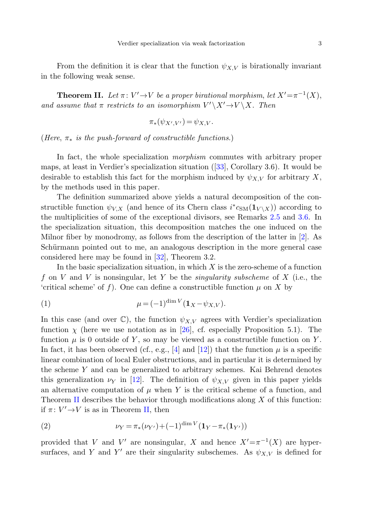<span id="page-2-0"></span>From the definition it is clear that the function  $\psi_{X,V}$  is birationally invariant in the following weak sense.

**Theorem II.** Let  $\pi: V' \to V$  be a proper birational morphism, let  $X' = \pi^{-1}(X)$ , and assume that  $\pi$  restricts to an isomorphism  $V' \ X' \to V \ X$ . Then

$$
\pi_*(\psi_{X',V'}) = \psi_{X,V}.
$$

(Here,  $\pi_*$  is the push-forward of constructible functions.)

In fact, the whole specialization morphism commutes with arbitrary proper maps, at least in Verdier's specialization situation ([\[33](#page-27-0)], Corollary 3.6). It would be desirable to establish this fact for the morphism induced by  $\psi_{X,V}$  for arbitrary X, by the methods used in this paper.

<span id="page-2-1"></span>The definition summarized above yields a natural decomposition of the constructible function  $\psi_{V,X}$  (and hence of its Chern class  $i^*c_{SM}(\mathbf{1}_{V \setminus X})$ ) according to the multiplicities of some of the exceptional divisors, see Remarks [2.5](#page-7-0) and [3.6](#page-14-0). In the specialization situation, this decomposition matches the one induced on the Milnor fiber by monodromy, as follows from the description of the latter in [[2\]](#page-26-1). As Schürmann pointed out to me, an analogous description in the more general case considered here may be found in [\[32](#page-27-2)], Theorem 3.2.

In the basic specialization situation, in which  $X$  is the zero-scheme of a function f on V and V is nonsingular, let Y be the *singularity subscheme* of X (i.e., the 'critical scheme' of f). One can define a constructible function  $\mu$  on X by

(1) 
$$
\mu = (-1)^{\dim V} (\mathbf{1}_X - \psi_{X,V}).
$$

<span id="page-2-2"></span>In this case (and over  $\mathbb{C}$ ), the function  $\psi_{X,V}$  agrees with Verdier's specialization function  $\chi$  (here we use notation as in [\[26](#page-27-3)], cf. especially Proposition 5.1). The function  $\mu$  is 0 outside of Y, so may be viewed as a constructible function on Y. In fact, it has been observed (cf., e.g., [\[4](#page-26-2)] and [\[12](#page-26-3)]) that the function  $\mu$  is a specific linear combination of local Euler obstructions, and in particular it is determined by the scheme Y and can be generalized to arbitrary schemes. Kai Behrend denotes this generalization  $\nu_Y$  in [\[12](#page-26-3)]. The definition of  $\psi_{X,V}$  given in this paper yields an alternative computation of  $\mu$  when Y is the critical scheme of a function, and Theorem [II](#page-2-0) describes the behavior through modifications along  $X$  of this function: if  $\pi: V' \rightarrow V$  is as in Theorem [II,](#page-2-0) then

(2) 
$$
\nu_Y = \pi_*(\nu_{Y'}) + (-1)^{\dim V} (\mathbf{1}_Y - \pi_*(\mathbf{1}_{Y'}))
$$

provided that V and V' are nonsingular, X and hence  $X' = \pi^{-1}(X)$  are hypersurfaces, and Y and Y' are their singularity subschemes. As  $\psi_{X,V}$  is defined for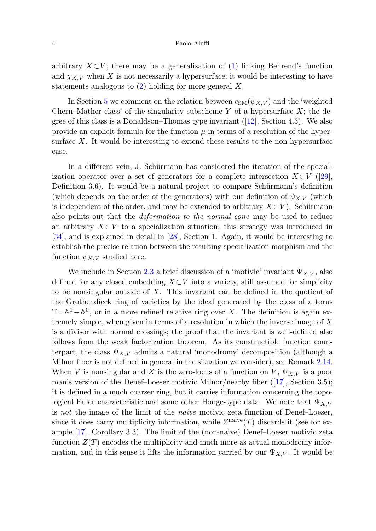arbitrary  $X\subset V$ , there may be a generalization of ([1\)](#page-2-1) linking Behrend's function and  $\chi_{X,V}$  when X is not necessarily a hypersurface; it would be interesting to have statements analogous to  $(2)$  $(2)$  holding for more general X.

In Section [5](#page-23-0) we comment on the relation between  $c_{SM}(\psi_{X,V})$  and the 'weighted Chern–Mather class' of the singularity subscheme Y of a hypersurface  $X$ ; the degree of this class is a Donaldson–Thomas type invariant  $(12)$ , Section 4.3). We also provide an explicit formula for the function  $\mu$  in terms of a resolution of the hypersurface  $X$ . It would be interesting to extend these results to the non-hypersurface case.

In a different vein, J. Schürmann has considered the iteration of the specialization operator over a set of generators for a complete intersection  $X\subset V$  ([\[29](#page-27-4)], Definition 3.6). It would be a natural project to compare Schürmann's definition (which depends on the order of the generators) with our definition of  $\psi_{X,V}$  (which is independent of the order, and may be extended to arbitrary  $X\subset V$ ). Schürmann also points out that the deformation to the normal cone may be used to reduce an arbitrary  $X\subset V$  to a specialization situation; this strategy was introduced in [\[34](#page-27-5)], and is explained in detail in [[28\]](#page-27-6), Section 1. Again, it would be interesting to establish the precise relation between the resulting specialization morphism and the function  $\psi_{X,V}$  studied here.

We include in Section [2.3](#page-9-0) a brief discussion of a 'motivic' invariant  $\Psi_{X,V}$ , also defined for any closed embedding  $X\subset V$  into a variety, still assumed for simplicity to be nonsingular outside of  $X$ . This invariant can be defined in the quotient of the Grothendieck ring of varieties by the ideal generated by the class of a torus  $\mathbb{T}=\mathbb{A}^1-\mathbb{A}^0$ , or in a more refined relative ring over X. The definition is again extremely simple, when given in terms of a resolution in which the inverse image of X is a divisor with normal crossings; the proof that the invariant is well-defined also follows from the weak factorization theorem. As its constructible function counterpart, the class  $\Psi_{X,V}$  admits a natural 'monodromy' decomposition (although a Milnor fiber is not defined in general in the situation we consider), see Remark [2.14.](#page-10-0) When V is nonsingular and X is the zero-locus of a function on V,  $\Psi_{X,V}$  is a poor man's version of the Denef–Loeser motivic Milnor/nearby fiber  $(17)$ , Section 3.5); it is defined in a much coarser ring, but it carries information concerning the topological Euler characteristic and some other Hodge-type data. We note that  $\Psi_{X,V}$ is not the image of the limit of the naive motivic zeta function of Denef–Loeser, since it does carry multiplicity information, while  $Z^{\text{naive}}(T)$  discards it (see for example [[17\]](#page-26-4), Corollary 3.3). The limit of the (non-naive) Denef–Loeser motivic zeta function  $Z(T)$  encodes the multiplicity and much more as actual monodromy information, and in this sense it lifts the information carried by our  $\Psi_{X,V}$ . It would be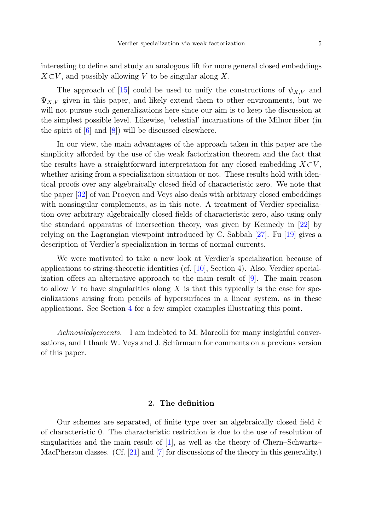interesting to define and study an analogous lift for more general closed embeddings  $X\subset V$ , and possibly allowing V to be singular along X.

The approach of [[15\]](#page-26-5) could be used to unify the constructions of  $\psi_{X,V}$  and  $\Psi_{X,V}$  given in this paper, and likely extend them to other environments, but we will not pursue such generalizations here since our aim is to keep the discussion at the simplest possible level. Likewise, 'celestial' incarnations of the Milnor fiber (in the spirit of [[6\]](#page-26-6) and [\[8](#page-26-7)]) will be discussed elsewhere.

In our view, the main advantages of the approach taken in this paper are the simplicity afforded by the use of the weak factorization theorem and the fact that the results have a straightforward interpretation for any closed embedding  $X\subset V$ . whether arising from a specialization situation or not. These results hold with identical proofs over any algebraically closed field of characteristic zero. We note that the paper [\[32](#page-27-2)] of van Proeyen and Veys also deals with arbitrary closed embeddings with nonsingular complements, as in this note. A treatment of Verdier specialization over arbitrary algebraically closed fields of characteristic zero, also using only the standard apparatus of intersection theory, was given by Kennedy in [[22\]](#page-27-7) by relying on the Lagrangian viewpoint introduced by C. Sabbah [[27\]](#page-27-8). Fu [[19\]](#page-26-8) gives a description of Verdier's specialization in terms of normal currents.

We were motivated to take a new look at Verdier's specialization because of applications to string-theoretic identities (cf. [\[10](#page-26-9)], Section 4). Also, Verdier specialization offers an alternative approach to the main result of [\[9\]](#page-26-10). The main reason to allow  $V$  to have singularities along  $X$  is that this typically is the case for specializations arising from pencils of hypersurfaces in a linear system, as in these applications. See Section [4](#page-17-0) for a few simpler examples illustrating this point.

<span id="page-4-0"></span>Acknowledgements. I am indebted to M. Marcolli for many insightful conversations, and I thank W. Veys and J. Schürmann for comments on a previous version of this paper.

## **2. The definition**

Our schemes are separated, of finite type over an algebraically closed field  $k$ of characteristic 0. The characteristic restriction is due to the use of resolution of singularities and the main result of [[1\]](#page-26-0), as well as the theory of Chern–Schwartz– MacPherson classes. (Cf. [\[21](#page-26-11)] and [[7\]](#page-26-12) for discussions of the theory in this generality.)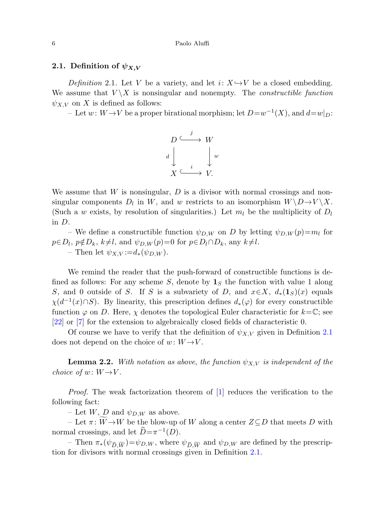## <span id="page-5-0"></span>**2.1.** Definition of  $\psi_{X,V}$

Definition 2.1. Let V be a variety, and let  $i: X \rightarrow V$  be a closed embedding. We assume that  $V \backslash X$  is nonsingular and nonempty. The *constructible function*  $\psi_{X,V}$  on X is defined as follows:

– Let  $w: W \to V$  be a proper birational morphism; let  $D=w^{-1}(X)$ , and  $d=w|_D$ :



We assume that  $W$  is nonsingular,  $D$  is a divisor with normal crossings and nonsingular components  $D_l$  in W, and w restricts to an isomorphism  $W \ D \rightarrow V \ X$ . (Such a w exists, by resolution of singularities.) Let  $m_l$  be the multiplicity of  $D_l$ in D.

– We define a constructible function  $\psi_{D,W}$  on D by letting  $\psi_{D,W}(p)=m_l$  for  $p \in D_l$ ,  $p \notin D_k$ ,  $k \neq l$ , and  $\psi_{D,W}(p) = 0$  for  $p \in D_l \cap D_k$ , any  $k \neq l$ . – Then let  $\psi_{X,V} := d_*(\psi_{D,W}).$ 

<span id="page-5-1"></span>We remind the reader that the push-forward of constructible functions is defined as follows: For any scheme S, denote by  $\mathbf{1}_S$  the function with value 1 along S, and 0 outside of S. If S is a subvariety of D, and  $x \in X$ ,  $d_*(1_S)(x)$  equals  $\chi(d^{-1}(x)\cap S)$ . By linearity, this prescription defines  $d_*(\varphi)$  for every constructible function  $\varphi$  on D. Here,  $\chi$  denotes the topological Euler characteristic for  $k=\mathbb{C}$ ; see [\[22](#page-27-7)] or [\[7](#page-26-12)] for the extension to algebraically closed fields of characteristic 0.

Of course we have to verify that the definition of  $\psi_{X,V}$  given in Definition [2.1](#page-5-0) does not depend on the choice of  $w: W \rightarrow V$ .

**Lemma 2.2.** With notation as above, the function  $\psi_{X,V}$  is independent of the choice of  $w: W \rightarrow V$ .

*Proof.* The weak factorization theorem of  $[1]$  $[1]$  reduces the verification to the following fact:

– Let W, D and  $\psi_{D,W}$  as above.

 $-$  Let π:  $W \rightarrow W$  be the blow-up of W along a center  $Z ⊆ D$  that meets D with normal crossings, and let  $\hat{D} = \pi^{-1}(D)$ .

 $-$  Then  $\pi_*(\psi_{\widehat{D}, \widetilde{W}}) = \psi_{D,W}$ , where  $\psi_{\widehat{D}, \widetilde{W}}$  and  $\psi_{D,W}$  are defined by the prescription for divisors with normal crossings given in Definition [2.1.](#page-5-0)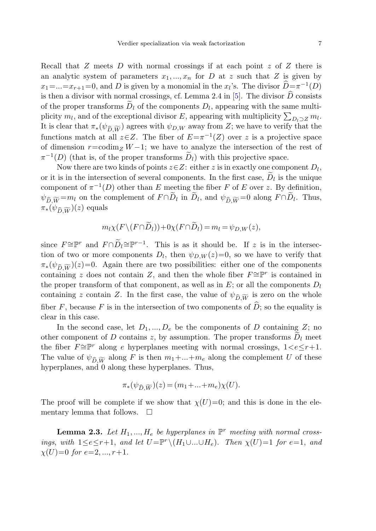Recall that  $Z$  meets  $D$  with normal crossings if at each point  $z$  of  $Z$  there is an analytic system of parameters  $x_1, ..., x_n$  for D at z such that Z is given by  $x_1 = ... = x_{r+1} = 0$ , and D is given by a monomial in the  $x_l$ 's. The divisor  $\widehat{D} = \pi^{-1}(D)$ is then a divisor with normal crossings, cf. Lemma 2.4 in [[5\]](#page-26-13). The divisor  $\widehat{D}$  consists of the proper transforms  $\tilde{D}_l$  of the components  $D_l$ , appearing with the same multiplicity  $m_l$ , and of the exceptional divisor E, appearing with multiplicity  $\sum_{D_l\supset Z} m_l$ . It is clear that  $\pi_*(\psi_{\widehat{D}, \widetilde{W}})$  agrees with  $\psi_{D,W}$  away from Z; we have to verify that the functions match at all  $z\in Z$ . The fiber of  $E=\pi^{-1}(Z)$  over z is a projective space of dimension  $r = \text{codim}_Z W - 1$ ; we have to analyze the intersection of the rest of  $\pi^{-1}(D)$  (that is, of the proper transforms  $\widetilde{D}_l$ ) with this projective space.

Now there are two kinds of points  $z \in Z$ : either z is in exactly one component  $D_l$ , or it is in the intersection of several components. In the first case,  $D_l$  is the unique component of  $\pi^{-1}(D)$  other than E meeting the fiber F of E over z. By definition,  $\psi_{\widehat{D}, \widetilde{W}} = m_l$  on the complement of  $F \cap D_l$  in  $D_l$ , and  $\psi_{\widehat{D}, \widetilde{W}} = 0$  along  $F \cap D_l$ . Thus,  $\pi_*(\psi_{\widehat{D}, \widetilde{W}})(z)$  equals

$$
m_l\chi(F\setminus (F\cap D_l)) + 0\chi(F\cap D_l) = m_l = \psi_{D,W}(z),
$$

since  $F \cong \mathbb{P}^r$  and  $F \cap \widetilde{D}_l \cong \mathbb{P}^{r-1}$ . This is as it should be. If z is in the intersection of two or more components  $D_l$ , then  $\psi_{D,W}(z)=0$ , so we have to verify that  $\pi_*(\psi_{\widehat{D}, \widetilde{W}})(z)=0$ . Again there are two possibilities: either one of the components containing z does not contain Z, and then the whole fiber  $F \cong \mathbb{P}^r$  is contained in the proper transform of that component, as well as in  $E$ ; or all the components  $D_l$ containing z contain Z. In the first case, the value of  $\psi_{\widehat{D}, \widetilde{W}}$  is zero on the whole fiber F, because F is in the intersection of two components of  $\overline{D}$ ; so the equality is clear in this case.

<span id="page-6-0"></span>In the second case, let  $D_1, ..., D_e$  be the components of D containing Z; no other component of D contains z, by assumption. The proper transforms  $D_l$  meet the fiber  $F \cong \mathbb{P}^r$  along e hyperplanes meeting with normal crossings,  $1 < e \leq r+1$ . The value of  $\psi_{\widehat{D}, \widetilde{W}}$  along F is then  $m_1 + ... + m_e$  along the complement U of these hyperplanes, and 0 along these hyperplanes. Thus,

$$
\pi_*(\psi_{\widehat{D}, \widetilde{W}})(z) = (m_1 + \dots + m_e)\chi(U).
$$

The proof will be complete if we show that  $\chi(U)=0$ ; and this is done in the elementary lemma that follows.  $\Box$ 

**Lemma 2.3.** Let  $H_1, ..., H_e$  be hyperplanes in  $\mathbb{P}^r$  meeting with normal crossings, with  $1 \leq e \leq r+1$ , and let  $U = \mathbb{P}^r \setminus (H_1 \cup ... \cup H_e)$ . Then  $\chi(U)=1$  for  $e=1$ , and  $\chi(U)=0$  for  $e=2,...,r+1$ .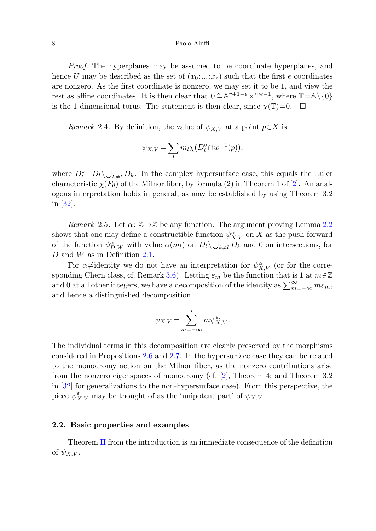## 8 Paolo Aluffi

Proof. The hyperplanes may be assumed to be coordinate hyperplanes, and hence U may be described as the set of  $(x_0, \ldots, x_r)$  such that the first e coordinates are nonzero. As the first coordinate is nonzero, we may set it to be 1, and view the rest as affine coordinates. It is then clear that  $U \cong \mathbb{A}^{r+1-e} \times \mathbb{T}^{e-1}$ , where  $\mathbb{T} = \mathbb{A} \setminus \{0\}$ is the 1-dimensional torus. The statement is then clear, since  $\chi(\mathbb{T})=0$ .  $\Box$ 

Remark 2.4. By definition, the value of  $\psi_{X,V}$  at a point  $p \in X$  is

$$
\psi_{X,V} = \sum_{l} m_l \chi(D_l^{\circ} \cap w^{-1}(p)),
$$

<span id="page-7-0"></span>where  $D_l^{\circ} = D_l \setminus \bigcup_{k \neq l} D_k$ . In the complex hypersurface case, this equals the Euler characteristic  $\chi(F_\theta)$  of the Milnor fiber, by formula (2) in Theorem 1 of [[2\]](#page-26-1). An analogous interpretation holds in general, as may be established by using Theorem 3.2 in [\[32\]](#page-27-2).

Remark 2.5. Let  $\alpha: \mathbb{Z} \to \mathbb{Z}$  be any function. The argument proving Lemma [2.2](#page-5-1) shows that one may define a constructible function  $\psi_{X,V}^{\alpha}$  on X as the push-forward of the function  $\psi_{D,W}^{\alpha}$  with value  $\alpha(m_l)$  on  $D_l \setminus \bigcup_{k \neq l} D_k$  and 0 on intersections, for D and W as in Definition [2.1](#page-5-0).

For  $\alpha\neq$  identity we do not have an interpretation for  $\psi_{X,V}^{\alpha}$  (or for the corre-sponding Chern class, cf. Remark [3.6\)](#page-14-0). Letting  $\varepsilon_m$  be the function that is 1 at  $m \in \mathbb{Z}$ and 0 at all other integers, we have a decomposition of the identity as  $\sum_{m=-\infty}^{\infty} m \varepsilon_m$ , and hence a distinguished decomposition

$$
\psi_{X,V}=\sum_{m=-\infty}^\infty m \psi_{X,V}^{\varepsilon_m}.
$$

The individual terms in this decomposition are clearly preserved by the morphisms considered in Propositions [2.6](#page-8-0) and [2.7](#page-8-1). In the hypersurface case they can be related to the monodromy action on the Milnor fiber, as the nonzero contributions arise from the nonzero eigenspaces of monodromy (cf. [[2\]](#page-26-1), Theorem 4; and Theorem 3.2 in [[32\]](#page-27-2) for generalizations to the non-hypersurface case). From this perspective, the piece  $\psi_{X,V}^{\varepsilon_1}$  may be thought of as the 'unipotent part' of  $\psi_{X,V}$ .

## **2.2. Basic properties and examples**

Theorem [II](#page-2-0) from the introduction is an immediate consequence of the definition of  $\psi_{X,V}$ .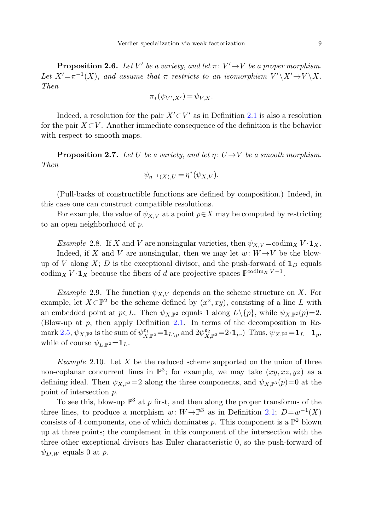<span id="page-8-1"></span><span id="page-8-0"></span>**Proposition 2.6.** Let V' be a variety, and let  $\pi: V' \to V$  be a proper morphism. Let  $X' = \pi^{-1}(X)$ , and assume that  $\pi$  restricts to an isomorphism  $V' \setminus X' \to V \setminus X$ . Then

$$
\pi_*(\psi_{V',X'})=\psi_{V,X}.
$$

Indeed, a resolution for the pair  $X' \subset V'$  as in Definition [2.1](#page-5-0) is also a resolution for the pair  $X\subset V$ . Another immediate consequence of the definition is the behavior with respect to smooth maps.

<span id="page-8-2"></span>**Proposition 2.7.** Let U be a variety, and let  $\eta: U \rightarrow V$  be a smooth morphism. Then

$$
\psi_{\eta^{-1}(X),U} = \eta^*(\psi_{X,V}).
$$

(Pull-backs of constructible functions are defined by composition.) Indeed, in this case one can construct compatible resolutions.

<span id="page-8-3"></span>For example, the value of  $\psi_{X,V}$  at a point  $p \in X$  may be computed by restricting to an open neighborhood of p.

Example 2.8. If X and V are nonsingular varieties, then  $\psi_{X,V} = \text{codim}_X V \cdot \mathbf{1}_X$ . Indeed, if X and V are nonsingular, then we may let  $w: W \rightarrow V$  be the blowup of V along  $X$ ; D is the exceptional divisor, and the push-forward of  $\mathbf{1}_D$  equals codim<sub>X</sub>  $V \cdot \mathbf{1}_X$  because the fibers of d are projective spaces  $\mathbb{P}^{\text{codim}_X V - 1}$ .

*Example* 2.9. The function  $\psi_{X,V}$  depends on the scheme structure on X. For example, let  $X\subset \mathbb{P}^2$  be the scheme defined by  $(x^2, xy)$ , consisting of a line L with an embedded point at  $p \in L$ . Then  $\psi_{X,\mathbb{P}^2}$  equals 1 along  $L \setminus \{p\}$ , while  $\psi_{X,\mathbb{P}^2}(p)=2$ . (Blow-up at  $p$ , then apply Definition [2.1.](#page-5-0) In terms of the decomposition in Re- $\text{mark } 2.5, \psi_{X,\mathbb{P}^2} \text{ is the sum of } \psi_{X,\mathbb{P}^2}^{\varepsilon_1} = \mathbf{1}_{L\setminus p} \text{ and } 2\psi_{X,\mathbb{P}^2}^{\varepsilon_2} = 2 \cdot \mathbf{1}_p.$  $\text{mark } 2.5, \psi_{X,\mathbb{P}^2} \text{ is the sum of } \psi_{X,\mathbb{P}^2}^{\varepsilon_1} = \mathbf{1}_{L\setminus p} \text{ and } 2\psi_{X,\mathbb{P}^2}^{\varepsilon_2} = 2 \cdot \mathbf{1}_p.$  $\text{mark } 2.5, \psi_{X,\mathbb{P}^2} \text{ is the sum of } \psi_{X,\mathbb{P}^2}^{\varepsilon_1} = \mathbf{1}_{L\setminus p} \text{ and } 2\psi_{X,\mathbb{P}^2}^{\varepsilon_2} = 2 \cdot \mathbf{1}_p.$  Thus,  $\psi_{X,\mathbb{P}^2} = \mathbf{1}_L + \mathbf{1}_p$ , while of course  $\psi_{L,\mathbb{P}^2} = \mathbf{1}_L$ .

Example 2.10. Let  $X$  be the reduced scheme supported on the union of three non-coplanar concurrent lines in  $\mathbb{P}^3$ ; for example, we may take  $(xy, xz, yz)$  as a defining ideal. Then  $\psi_{X,\mathbb{P}^3}=2$  along the three components, and  $\psi_{X,\mathbb{P}^3}(p)=0$  at the point of intersection p.

To see this, blow-up  $\mathbb{P}^3$  at p first, and then along the proper transforms of the three lines, to produce a morphism w:  $W \rightarrow \mathbb{P}^3$  as in Definition [2.1;](#page-5-0)  $D=w^{-1}(X)$ consists of 4 components, one of which dominates p. This component is a  $\mathbb{P}^2$  blown up at three points; the complement in this component of the intersection with the three other exceptional divisors has Euler characteristic 0, so the push-forward of  $\psi_{D,W}$  equals 0 at p.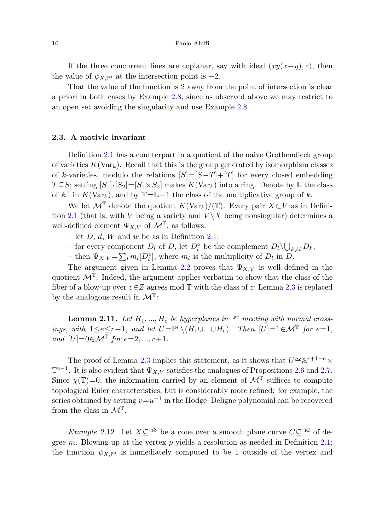<span id="page-9-0"></span>If the three concurrent lines are coplanar, say with ideal  $(xy(x+y), z)$ , then the value of  $\psi_{X,\mathbb{P}^3}$  at the intersection point is  $-2$ .

That the value of the function is 2 away from the point of intersection is clear a priori in both cases by Example [2.8](#page-8-2), since as observed above we may restrict to an open set avoiding the singularity and use Example [2.8.](#page-8-2)

## **2.3. A motivic invariant**

Definition [2.1](#page-5-0) has a counterpart in a quotient of the naive Grothendieck group of varieties  $K(\text{Var}_k)$ . Recall that this is the group generated by isomorphism classes of k-varieties, modulo the relations  $[S]=[S-T]+[T]$  for every closed embedding  $T \subseteq S$ ; setting  $[S_1] \cdot [S_2] = [S_1 \times S_2]$  makes  $K(\text{Var}_k)$  into a ring. Denote by L the class of  $\mathbb{A}^1$  in  $K(\text{Var}_k)$ , and by  $\mathbb{T}=\mathbb{L}-1$  the class of the multiplicative group of k.

We let  $\mathcal{M}^{\mathbb{T}}$  denote the quotient  $K(\text{Var}_k)/(\mathbb{T})$ . Every pair  $X\subset V$  as in Defini-tion [2.1](#page-5-0) (that is, with V being a variety and  $V \setminus X$  being nonsingular) determines a well-defined element  $\Psi_{X,V}$  of  $\mathcal{M}^{\mathbb{T}}$ , as follows:

- let  $D, d, W$  and w be as in Definition [2.1](#page-5-0);
- <span id="page-9-1"></span>– for every component  $D_l$  of  $D$ , let  $D_l^{\circ}$  be the complement  $D_l \setminus \bigcup_{k \neq l} D_k$ ;
- then  $\Psi_{X,V} = \sum_l m_l [D_l^{\circ}],$  where  $m_l$  is the multiplicity of  $D_l$  in  $D$ .

The argument given in Lemma [2.2](#page-5-1) proves that  $\Psi_{X,V}$  is well defined in the quotient  $\mathcal{M}^T$ . Indeed, the argument applies verbatim to show that the class of the fiber of a blow-up over  $z \in Z$  agrees mod  $\mathbb T$  with the class of z; Lemma [2.3](#page-6-0) is replaced by the analogous result in  $\mathcal{M}^T$ :

**Lemma 2.11.** Let  $H_1, ..., H_e$  be hyperplanes in  $\mathbb{P}^r$  meeting with normal crossings, with  $1 \leq e \leq r+1$ , and let  $U = \mathbb{P}^r \setminus (H_1 \cup ... \cup H_e)$ . Then  $|U|=1 \in \mathcal{M}^T$  for  $e=1$ , and  $[U]=0 \in \mathcal{M}^{T}$  for  $e=2,...,r+1$ .

The proof of Lemma [2.3](#page-6-0) implies this statement, as it shows that  $U \cong \mathbb{A}^{r+1-e} \times$  $\mathbb{T}^{e-1}$ . It is also evident that  $\Psi_{X,V}$  satisfies the analogues of Propositions [2.6](#page-8-0) and [2.7.](#page-8-1) Since  $\chi(\mathbb{T})=0$ , the information carried by an element of  $\mathcal{M}^{\mathbb{T}}$  suffices to compute topological Euler characteristics, but is considerably more refined: for example, the series obtained by setting  $v=u^{-1}$  in the Hodge–Deligne polynomial can be recovered from the class in  $\mathcal{M}^{\mathbb{T}}$ .

Example 2.12. Let  $X\subseteq \mathbb{P}^3$  be a cone over a smooth plane curve  $C\subseteq \mathbb{P}^2$  of degree m. Blowing up at the vertex  $p$  yields a resolution as needed in Definition [2.1;](#page-5-0) the function  $\psi_{X,\mathbb{P}^3}$  is immediately computed to be 1 outside of the vertex and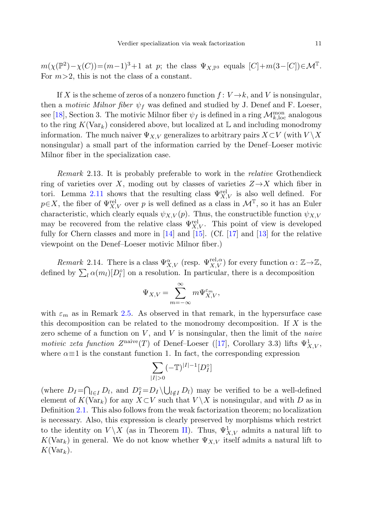$m(\chi(\mathbb{P}^2)-\chi(C))=(m-1)^3+1$  at p; the class  $\Psi_{X,\mathbb{P}^3}$  equals  $[C]+m(3-[C])\in\mathcal{M}^T$ . For  $m>2$ , this is not the class of a constant.

If X is the scheme of zeros of a nonzero function  $f: V \to k$ , and V is nonsingular, then a motivic Milnor fiber  $\psi_f$  was defined and studied by J. Denef and F. Loeser, see [[18](#page-26-14)], Section 3. The motivic Milnor fiber  $\psi_f$  is defined in a ring  $\mathcal{M}_{k,loc}^{mon}$  analogous to the ring  $K(\text{Var}_k)$  considered above, but localized at  $\mathbb L$  and including monodromy information. The much naiver  $\Psi_{X,V}$  generalizes to arbitrary pairs  $X\subset V$  (with  $V\setminus X$ nonsingular) a small part of the information carried by the Denef–Loeser motivic Milnor fiber in the specialization case.

<span id="page-10-0"></span>Remark 2.13. It is probably preferable to work in the relative Grothendieck ring of varieties over X, moding out by classes of varieties  $Z \rightarrow X$  which fiber in tori. Lemma [2.11](#page-9-1) shows that the resulting class  $\Psi_{X,V}^{\text{rel}}$  is also well defined. For  $p \in X$ , the fiber of  $\Psi_{X,V}^{rel}$  over p is well defined as a class in  $\mathcal{M}^T$ , so it has an Euler characteristic, which clearly equals  $\psi_{X,V}(p)$ . Thus, the constructible function  $\psi_{X,V}$ may be recovered from the relative class  $\Psi_{X,V}^{\text{rel}}$ . This point of view is developed fully for Chern classes and more in [\[14](#page-26-15)] and [[15\]](#page-26-5). (Cf. [\[17](#page-26-4)] and [[13\]](#page-26-16) for the relative viewpoint on the Denef–Loeser motivic Milnor fiber.)

Remark 2.14. There is a class  $\Psi_{X,V}^{\alpha}$  (resp.  $\Psi_{X,V}^{\text{rel},\alpha}$ ) for every function  $\alpha: \mathbb{Z} \to \mathbb{Z}$ , defined by  $\sum_l \alpha(m_l)[D_l^{\circ}]$  on a resolution. In particular, there is a decomposition

$$
\Psi_{X,V} = \sum_{m=-\infty}^{\infty} m \Psi_{X,V}^{\varepsilon_m},
$$

with  $\varepsilon_m$  as in Remark [2.5.](#page-7-0) As observed in that remark, in the hypersurface case this decomposition can be related to the monodromy decomposition. If  $X$  is the zero scheme of a function on  $V$ , and  $V$  is nonsingular, then the limit of the *naive* motivic zeta function  $Z^{\text{naive}}(T)$  of Denef-Loeser ([[17\]](#page-26-4), Corollary 3.3) lifts  $\Psi^1_{X,V}$ , where  $\alpha \equiv 1$  is the constant function 1. In fact, the corresponding expression

$$
\sum_{|I|>0} (-\mathbb{T})^{|I|-1}[D_I^\circ]
$$

(where  $D_I = \bigcap_{l \in I} D_l$ , and  $D_I^{\circ} = D_I \setminus \bigcup_{l \notin I} D_l$ ) may be verified to be a well-defined element of  $K(\text{Var}_k)$  for any  $X\subset V$  such that  $V\setminus X$  is nonsingular, and with D as in Definition [2.1.](#page-5-0) This also follows from the weak factorization theorem; no localization is necessary. Also, this expression is clearly preserved by morphisms which restrict to the identity on  $V \backslash X$  (as in Theorem [II\)](#page-2-0). Thus,  $\Psi^1_{X,V}$  admits a natural lift to  $K(\text{Var}_k)$  in general. We do not know whether  $\Psi_{X,V}$  itself admits a natural lift to  $K(\text{Var}_k)$ .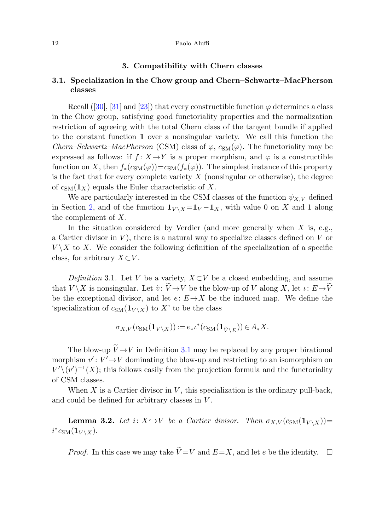#### <span id="page-11-3"></span><span id="page-11-2"></span>12 Paolo Aluffi

## **3. Compatibility with Chern classes**

# **3.1. Specialization in the Chow group and Chern–Schwartz–MacPherson classes**

Recall ([[30\]](#page-27-9), [\[31](#page-27-10)] and [[23\]](#page-27-1)) that every constructible function  $\varphi$  determines a class in the Chow group, satisfying good functoriality properties and the normalization restriction of agreeing with the total Chern class of the tangent bundle if applied to the constant function **1** over a nonsingular variety. We call this function the *Chern–Schwartz–MacPherson* (CSM) class of  $\varphi$ ,  $c_{SM}(\varphi)$ . The functoriality may be expressed as follows: if  $f: X \rightarrow Y$  is a proper morphism, and  $\varphi$  is a constructible function on X, then  $f_*(c_{\text{SM}}(\varphi))=c_{\text{SM}}(f_*(\varphi))$ . The simplest instance of this property is the fact that for every complete variety  $X$  (nonsingular or otherwise), the degree of  $c_{SM}(1_X)$  equals the Euler characteristic of X.

<span id="page-11-0"></span>We are particularly interested in the CSM classes of the function  $\psi_{X,V}$  defined in Section [2](#page-4-0), and of the function  $\mathbf{1}_{V \setminus X} = \mathbf{1}_V - \mathbf{1}_X$ , with value 0 on X and 1 along the complement of X.

In the situation considered by Verdier (and more generally when  $X$  is, e.g., a Cartier divisor in  $V$ ), there is a natural way to specialize classes defined on  $V$  or  $V \backslash X$  to X. We consider the following definition of the specialization of a specific class, for arbitrary  $X\subset V$ .

Definition 3.1. Let V be a variety,  $X\subset V$  be a closed embedding, and assume that  $V \backslash X$  is nonsingular. Let  $\tilde{v} : \tilde{V} \to V$  be the blow-up of V along X, let  $\iota: E \to \tilde{V}$ be the exceptional divisor, and let  $e: E \rightarrow X$  be the induced map. We define the 'specialization of  $c_{\text{SM}}(\mathbf{1}_{V \setminus X})$  to X' to be the class

$$
\sigma_{X,V}(c_{\text{SM}}(\mathbf{1}_{V\setminus X})):=e_*\iota^*(c_{\text{SM}}(\mathbf{1}_{\widetilde{V}\setminus E}))\in A_*X.
$$

<span id="page-11-1"></span>The blow-up  $\widetilde{V} \rightarrow V$  in Definition [3.1](#page-11-0) may be replaced by any proper birational morphism  $v' : V' \rightarrow V$  dominating the blow-up and restricting to an isomorphism on  $V' \setminus (v')^{-1}(X)$ ; this follows easily from the projection formula and the functoriality of CSM classes.

When  $X$  is a Cartier divisor in  $V$ , this specialization is the ordinary pull-back, and could be defined for arbitrary classes in V .

**Lemma 3.2.** Let  $i: X \rightarrow V$  be a Cartier divisor. Then  $\sigma_{X,V}(c_{SM}(1_{V \setminus X}))=$  $i^* c_{\text{SM}}(\mathbf{1}_{V \setminus X}).$ 

*Proof.* In this case we may take  $\widetilde{V} = V$  and  $E = X$ , and let e be the identity.  $\Box$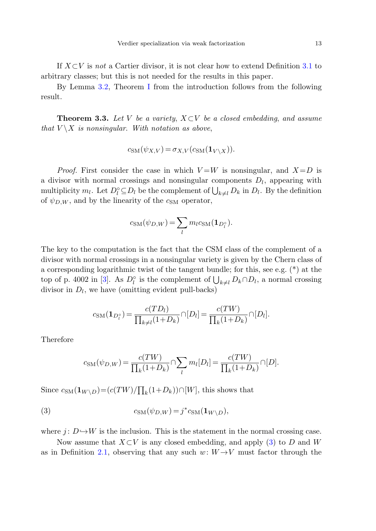<span id="page-12-0"></span>If  $X\subset V$  is not a Cartier divisor, it is not clear how to extend Definition [3.1](#page-11-0) to arbitrary classes; but this is not needed for the results in this paper.

By Lemma [3.2,](#page-11-1) Theorem [I](#page-1-0) from the introduction follows from the following result.

**Theorem 3.3.** Let V be a variety,  $X \subset V$  be a closed embedding, and assume that  $V \backslash X$  is nonsingular. With notation as above,

$$
c_{\text{SM}}(\psi_{X,V}) = \sigma_{X,V}(c_{\text{SM}}(\mathbf{1}_{V \setminus X})).
$$

*Proof.* First consider the case in which  $V = W$  is nonsingular, and  $X = D$  is a divisor with normal crossings and nonsingular components  $D_l$ , appearing with multiplicity  $m_l$ . Let  $D_l^{\circ} \subseteq D_l$  be the complement of  $\bigcup_{k \neq l} D_k$  in  $D_l$ . By the definition of  $\psi_{D,W}$ , and by the linearity of the  $c_{SM}$  operator,

$$
c_{\text{SM}}(\psi_{D,W}) = \sum_{l} m_l c_{\text{SM}}(\mathbf{1}_{D_l^{\circ}}).
$$

The key to the computation is the fact that the CSM class of the complement of a divisor with normal crossings in a nonsingular variety is given by the Chern class of a corresponding logarithmic twist of the tangent bundle; for this, see e.g. (\*) at the top of p. 4002 in [[3\]](#page-26-17). As  $D_l^{\circ}$  is the complement of  $\bigcup_{k\neq l} D_k \cap D_l$ , a normal crossing divisor in  $D_l$ , we have (omitting evident pull-backs)

$$
c_{\rm SM}(\mathbf{1}_{D_l^{\circ}}) = \frac{c(TD_l)}{\prod_{k \neq l} (1 + D_k)} \cap [D_l] = \frac{c(TW)}{\prod_k (1 + D_k)} \cap [D_l].
$$

<span id="page-12-1"></span>Therefore

$$
c_{\rm SM}(\psi_{D,W}) = \frac{c(TW)}{\prod_k (1+D_k)} \cap \sum_l m_l [D_l] = \frac{c(TW)}{\prod_k (1+D_k)} \cap [D].
$$

Since  $c_{\text{SM}}(\mathbf{1}_{W \setminus D}) = (c(TW)/\prod_k(1+D_k)) \cap [W]$ , this shows that

(3) 
$$
c_{\text{SM}}(\psi_{D,W}) = j^* c_{\text{SM}}(\mathbf{1}_{W \setminus D}),
$$

where  $j: D \hookrightarrow W$  is the inclusion. This is the statement in the normal crossing case.

Now assume that  $X\subset V$  is any closed embedding, and apply [\(3\)](#page-12-1) to D and W as in Definition [2.1,](#page-5-0) observing that any such  $w: W \rightarrow V$  must factor through the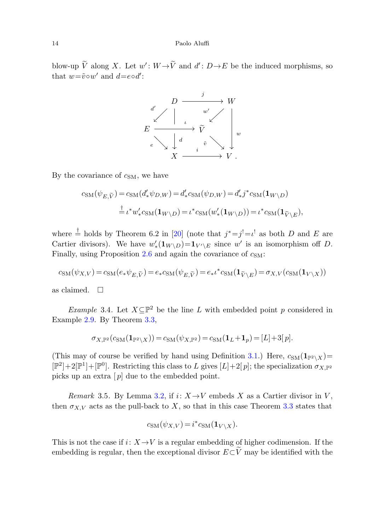## 14 Paolo Aluffi

blow-up  $\widetilde{V}$  along X. Let  $w' : W \rightarrow \widetilde{V}$  and  $d' : D \rightarrow E$  be the induced morphisms, so that  $w = \tilde{v} \circ w'$  and  $d = e \circ d'$ :



By the covariance of  $c<sub>SM</sub>$ , we have

$$
c_{\rm SM}(\psi_{E,\widetilde{V}}) = c_{\rm SM}(d'_*\psi_{D,W}) = d'_*c_{\rm SM}(\psi_{D,W}) = d'_*j^*c_{\rm SM}(\mathbf{1}_{W\backslash D})
$$
  

$$
\stackrel{\dagger}{=} \iota^* w'_*c_{\rm SM}(\mathbf{1}_{W\backslash D}) = \iota^*c_{\rm SM}(w'_*(\mathbf{1}_{W\backslash D})) = \iota^*c_{\rm SM}(\mathbf{1}_{\widetilde{V}\backslash E}),
$$

where  $\stackrel{\dagger}{=}$  holds by Theorem 6.2 in [[20\]](#page-26-18) (note that  $j^* = j^! = \iota^!$  as both D and E are Cartier divisors). We have  $w'_*(1_{W \setminus D}) = 1_{V' \setminus E}$  since w' is an isomorphism off D. Finally, using Proposition [2.6](#page-8-0) and again the covariance of  $c_{SM}$ :

$$
c_{\mathrm{SM}}(\psi_{X,V}) = c_{\mathrm{SM}}(e_*\psi_{E,\widetilde{V}}) = e_*c_{\mathrm{SM}}(\psi_{E,\widetilde{V}}) = e_*\iota^*c_{\mathrm{SM}}(\mathbf{1}_{\widetilde{V}\backslash E}) = \sigma_{X,V}(c_{\mathrm{SM}}(\mathbf{1}_{V\backslash X}))
$$

as claimed.  $\Box$ 

<span id="page-13-0"></span>Example 3.4. Let  $X\subseteq \mathbb{P}^2$  be the line L with embedded point p considered in Example [2.9.](#page-8-3) By Theorem [3.3](#page-12-0),

$$
\sigma_{X,\mathbb{P}^2}(c_{\mathrm{SM}}(\mathbf{1}_{\mathbb{P}^2\backslash X}))=c_{\mathrm{SM}}(\psi_{X,\mathbb{P}^2})=c_{\mathrm{SM}}(\mathbf{1}_L+\mathbf{1}_p)=[L]+3[p].
$$

(This may of course be verified by hand using Definition [3.1.](#page-11-0)) Here,  $c_{SM}(\mathbf{1}_{\mathbb{P}^2 \setminus X})=$  $[\mathbb{P}^2]+2[\mathbb{P}^1]+[\mathbb{P}^0]$ . Restricting this class to L gives  $[L]+2[p]$ ; the specialization  $\sigma_{X,\mathbb{P}^2}$ picks up an extra  $[p]$  due to the embedded point.

Remark 3.5. By Lemma [3.2,](#page-11-1) if  $i: X \rightarrow V$  embeds X as a Cartier divisor in V, then  $\sigma_{X,V}$  acts as the pull-back to X, so that in this case Theorem [3.3](#page-12-0) states that

$$
c_{\text{SM}}(\psi_{X,V}) = i^* c_{\text{SM}}(\mathbf{1}_{V \setminus X}).
$$

This is not the case if  $i: X \rightarrow V$  is a regular embedding of higher codimension. If the embedding is regular, then the exceptional divisor  $E\subset \widetilde{V}$  may be identified with the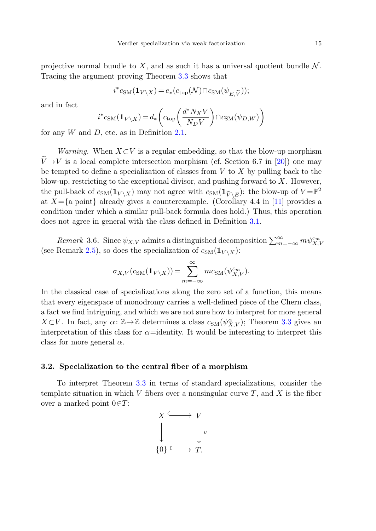projective normal bundle to X, and as such it has a universal quotient bundle  $\mathcal N$ . Tracing the argument proving Theorem [3.3](#page-12-0) shows that

$$
i^*c_{\mathrm{SM}}(\mathbf{1}_{V\backslash X})=e_*(c_{\mathrm{top}}(\mathcal{N})\cap c_{\mathrm{SM}}(\psi_{E,\widetilde{V}}));
$$

and in fact

$$
i^*c_{\text{SM}}(\mathbf{1}_{V \setminus X}) = d_* \bigg( c_{\text{top}} \bigg( \frac{d^* N_X V}{N_D V} \bigg) \cap c_{\text{SM}}(\psi_{D,W}) \bigg)
$$

for any  $W$  and  $D$ , etc. as in Definition [2.1.](#page-5-0)

<span id="page-14-0"></span>Warning. When  $X\subset V$  is a regular embedding, so that the blow-up morphism  $\tilde{V} \rightarrow V$  is a local complete intersection morphism (cf. Section 6.7 in [\[20](#page-26-18)]) one may be tempted to define a specialization of classes from  $V$  to  $X$  by pulling back to the blow-up, restricting to the exceptional divisor, and pushing forward to  $X$ . However, the pull-back of  $c_{SM}(\mathbf{1}_{V \setminus X})$  may not agree with  $c_{SM}(\mathbf{1}_{\widetilde{V} \setminus E})$ : the blow-up of  $V = \mathbb{P}^2$ at  $X=\{a\}$  point already gives a counterexample. (Corollary 4.4 in [[11](#page-26-19)] provides a condition under which a similar pull-back formula does hold.) Thus, this operation does not agree in general with the class defined in Definition [3.1.](#page-11-0)

Remark 3.6. Since  $\psi_{X,V}$  admits a distinguished decomposition  $\sum_{m=-\infty}^{\infty} m \psi_{X,V}^{\varepsilon_m}$ (see Remark [2.5\)](#page-7-0), so does the specialization of  $c_{SM}(\mathbf{1}_{V \setminus X})$ :

$$
\sigma_{X,V}(c_{\text{SM}}(\mathbf{1}_{V\setminus X})) = \sum_{m=-\infty}^{\infty} mc_{\text{SM}}(\psi_{X,V}^{\varepsilon_m}).
$$

<span id="page-14-1"></span>In the classical case of specializations along the zero set of a function, this means that every eigenspace of monodromy carries a well-defined piece of the Chern class, a fact we find intriguing, and which we are not sure how to interpret for more general  $X\subset V$ . In fact, any  $\alpha: \mathbb{Z}\to\mathbb{Z}$  determines a class  $c_{SM}(\psi_{X,V}^{\alpha});$  Theorem [3.3](#page-12-0) gives an interpretation of this class for  $\alpha$ =identity. It would be interesting to interpret this class for more general  $\alpha$ .

## **3.2. Specialization to the central fiber of a morphism**

To interpret Theorem [3.3](#page-12-0) in terms of standard specializations, consider the template situation in which V fibers over a nonsingular curve  $T$ , and X is the fiber over a marked point  $0 \in T$ :

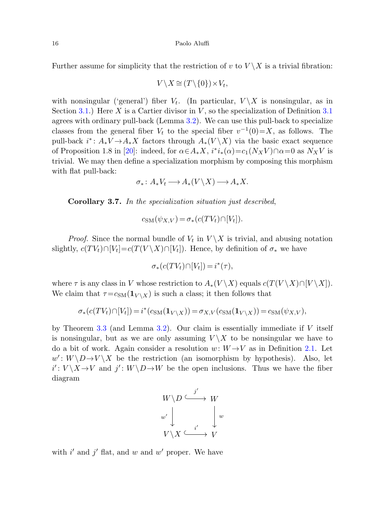Further assume for simplicity that the restriction of v to  $V \setminus X$  is a trivial fibration:

$$
V \setminus X \cong (T \setminus \{0\}) \times V_t,
$$

with nonsingular ('general') fiber  $V_t$ . (In particular,  $V \backslash X$  is nonsingular, as in Section [3.1.](#page-11-2)) Here X is a Cartier divisor in V, so the specialization of Definition [3.1](#page-11-0) agrees with ordinary pull-back (Lemma [3.2\)](#page-11-1). We can use this pull-back to specialize classes from the general fiber  $V_t$  to the special fiber  $v^{-1}(0)=X$ , as follows. The pull-back  $i^*$ :  $A_*V \to A_*X$  factors through  $A_*(V \setminus X)$  via the basic exact sequence of Proposition 1.8 in [[20\]](#page-26-18): indeed, for  $\alpha \in A_* X$ ,  $i^*i_*(\alpha) = c_1(N_X V) \cap \alpha = 0$  as  $N_X V$  is trivial. We may then define a specialization morphism by composing this morphism with flat pull-back:

$$
\sigma_*\colon A_*V_t\longrightarrow A_*(V\backslash X)\longrightarrow A_*X.
$$

**Corollary 3***.***7.** In the specialization situation just described,

$$
c_{\mathrm{SM}}(\psi_{X,V}) = \sigma_*(c(TV_t) \cap [V_t]).
$$

*Proof.* Since the normal bundle of  $V_t$  in  $V \backslash X$  is trivial, and abusing notation slightly,  $c(TV_t) \cap [V_t]=c(T(V \setminus X) \cap [V_t])$ . Hence, by definition of  $\sigma_*$  we have

$$
\sigma_*(c(TV_t)\cap [V_t]) = i^*(\tau),
$$

where  $\tau$  is any class in V whose restriction to  $A_*(V \ X)$  equals  $c(T(V \ X) \cap [V \ X])$ . We claim that  $\tau = c_{\text{SM}}(\mathbf{1}_{V \setminus X})$  is such a class; it then follows that

$$
\sigma_*(c(TV_t) \cap [V_t]) = i^*(c_{\mathrm{SM}}(\mathbf{1}_{V \setminus X})) = \sigma_{X,V}(c_{\mathrm{SM}}(\mathbf{1}_{V \setminus X})) = c_{\mathrm{SM}}(\psi_{X,V}),
$$

by Theorem [3.3](#page-12-0) (and Lemma [3.2\)](#page-11-1). Our claim is essentially immediate if  $V$  itself is nonsingular, but as we are only assuming  $V \backslash X$  to be nonsingular we have to do a bit of work. Again consider a resolution  $w: W \rightarrow V$  as in Definition [2.1.](#page-5-0) Let  $w' : W \ D \rightarrow V \ X$  be the restriction (an isomorphism by hypothesis). Also, let  $i': V \ X \to V$  and  $j': W \ D \to W$  be the open inclusions. Thus we have the fiber diagram



with  $i'$  and  $j'$  flat, and w and w' proper. We have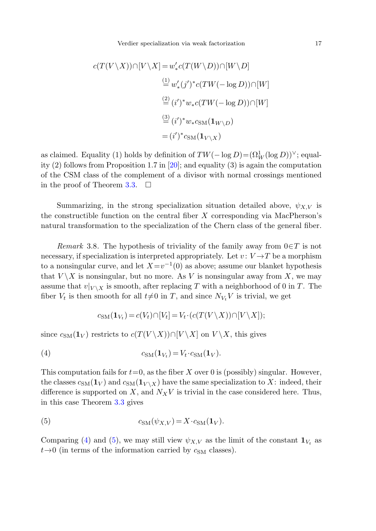$$
c(T(V \setminus X)) \cap [V \setminus X] = w'_* c(T(W \setminus D)) \cap [W \setminus D]
$$
  
\n
$$
\stackrel{(1)}{=} w'_*(j')^* c(TW(- \log D)) \cap [W]
$$
  
\n
$$
\stackrel{(2)}{=} (i')^* w_* c(TW(- \log D)) \cap [W]
$$
  
\n
$$
\stackrel{(3)}{=} (i')^* w_* c_{\text{SM}}(\mathbf{1}_{W \setminus D})
$$
  
\n
$$
= (i')^* c_{\text{SM}}(\mathbf{1}_{V \setminus X})
$$

<span id="page-16-2"></span>as claimed. Equality (1) holds by definition of  $TW(-\log D) = (\Omega_W^1(\log D))^\vee$ ; equality  $(2)$  follows from Proposition 1.7 in [[20\]](#page-26-18); and equality  $(3)$  is again the computation of the CSM class of the complement of a divisor with normal crossings mentioned in the proof of Theorem [3.3](#page-12-0).  $\Box$ 

Summarizing, in the strong specialization situation detailed above,  $\psi_{X,V}$  is the constructible function on the central fiber  $X$  corresponding via MacPherson's natural transformation to the specialization of the Chern class of the general fiber.

<span id="page-16-0"></span>Remark 3.8. The hypothesis of triviality of the family away from  $0 \in T$  is not necessary, if specialization is interpreted appropriately. Let  $v: V \rightarrow T$  be a morphism to a nonsingular curve, and let  $X=v^{-1}(0)$  as above; assume our blanket hypothesis that  $V \backslash X$  is nonsingular, but no more. As V is nonsingular away from X, we may assume that  $v|_{V \setminus X}$  is smooth, after replacing T with a neighborhood of 0 in T. The fiber  $V_t$  is then smooth for all  $t\neq0$  in T, and since  $N_{V_t}V$  is trivial, we get

$$
c_{\text{SM}}(\mathbf{1}_{V_t}) = c(V_t) \cap [V_t] = V_t \cdot (c(T(V \setminus X)) \cap [V \setminus X]);
$$

since  $c_{\text{SM}}(1_V)$  restricts to  $c(T(V \setminus X)) \cap [V \setminus X]$  on  $V \setminus X$ , this gives

<span id="page-16-1"></span>
$$
(4) \t\t cSM(1Vt) = Vt \cdot cSM(1V).
$$

This computation fails for  $t=0$ , as the fiber X over 0 is (possibly) singular. However, the classes  $c_{\text{SM}}(1_V)$  and  $c_{\text{SM}}(1_{V \setminus X})$  have the same specialization to X: indeed, their difference is supported on X, and  $N_XV$  is trivial in the case considered here. Thus, in this case Theorem [3.3](#page-12-0) gives

(5) 
$$
c_{\text{SM}}(\psi_{X,V}) = X \cdot c_{\text{SM}}(\mathbf{1}_V).
$$

Comparing ([4\)](#page-16-0) and [\(5](#page-16-1)), we may still view  $\psi_{X,V}$  as the limit of the constant  $\mathbf{1}_{V_t}$  as  $t\rightarrow 0$  (in terms of the information carried by  $c_{SM}$  classes).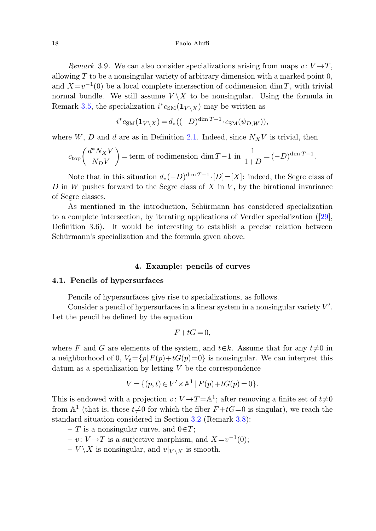Remark 3.9. We can also consider specializations arising from maps  $v: V \rightarrow T$ . allowing  $T$  to be a nonsingular variety of arbitrary dimension with a marked point  $0$ , and  $X=v^{-1}(0)$  be a local complete intersection of codimension dim T, with trivial normal bundle. We still assume  $V \setminus X$  to be nonsingular. Using the formula in Remark [3.5,](#page-13-0) the specialization  $i^*c_{\text{SM}}(\mathbf{1}_{V \setminus X})$  may be written as

$$
i^* c_{\rm SM}(\mathbf{1}_{V \setminus X}) = d_*((-D)^{\dim T - 1} \cdot c_{\rm SM}(\psi_{D,W})),
$$

where  $W, D$  and d are as in Definition [2.1](#page-5-0). Indeed, since  $N_X V$  is trivial, then

$$
c_{\rm top}\bigg(\frac{d^*N_XV}{N_DV}\bigg) = {\rm term\ of\ codimension\ dim\ } T-1\ {\rm in\ }\frac{1}{1+D}=(-D)^{{\rm dim\ } T-1}.
$$

Note that in this situation  $d_*(-D)^{\dim T-1} \cdot [D]=[X]$ : indeed, the Segre class of  $D$  in  $W$  pushes forward to the Segre class of  $X$  in  $V$ , by the birational invariance of Segre classes.

<span id="page-17-1"></span><span id="page-17-0"></span>As mentioned in the introduction, Schürmann has considered specialization to a complete intersection, by iterating applications of Verdier specialization ([\[29](#page-27-4)], Definition 3.6). It would be interesting to establish a precise relation between Schürmann's specialization and the formula given above.

## **4. Example: pencils of curves**

## **4.1. Pencils of hypersurfaces**

Pencils of hypersurfaces give rise to specializations, as follows.

Consider a pencil of hypersurfaces in a linear system in a nonsingular variety  $V'$ . Let the pencil be defined by the equation

$$
F + tG = 0,
$$

where F and G are elements of the system, and  $t \in k$ . Assume that for any  $t \neq 0$  in a neighborhood of 0,  $V_t = \{p|F(p)+tG(p)=0\}$  is nonsingular. We can interpret this  $\alpha$  datum as a specialization by letting V be the correspondence

$$
V = \{ (p, t) \in V' \times \mathbb{A}^1 \mid F(p) + tG(p) = 0 \}.
$$

This is endowed with a projection  $v: V \to T = \mathbb{A}^1$ ; after removing a finite set of  $t \neq 0$ from  $\mathbb{A}^1$  (that is, those  $t\neq 0$  for which the fiber  $F + tG = 0$  is singular), we reach the standard situation considered in Section [3.2](#page-14-1) (Remark [3.8](#page-16-2)):

– T is a nonsingular curve, and  $0 \in T$ ;

– v:  $V \rightarrow T$  is a surjective morphism, and  $X=v^{-1}(0);$ 

 $- V \backslash X$  is nonsingular, and  $v|_{V \backslash X}$  is smooth.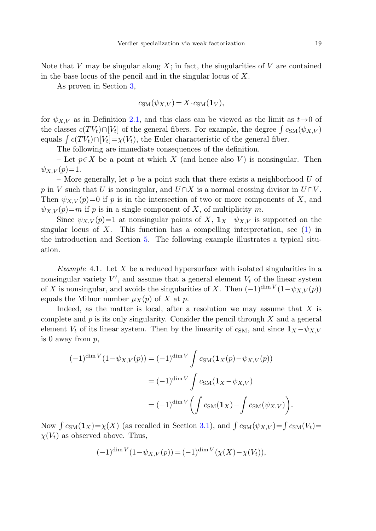Note that V may be singular along X; in fact, the singularities of V are contained in the base locus of the pencil and in the singular locus of  $X$ .

As proven in Section [3](#page-11-3),

$$
c_{\rm SM}(\psi_{X,V}) = X \cdot c_{\rm SM}(\mathbf{1}_V),
$$

for  $\psi_{X,V}$  as in Definition [2.1](#page-5-0), and this class can be viewed as the limit as  $t\rightarrow 0$  of the classes  $c(TV_t) \cap [V_t]$  of the general fibers. For example, the degree  $\int c_{\text{SM}}(\psi_{X,V})$ equals  $\int c(TV_t) \cap [V_t] = \chi(V_t)$ , the Euler characteristic of the general fiber.

The following are immediate consequences of the definition.

– Let  $p \in X$  be a point at which X (and hence also V) is nonsingular. Then  $\psi_{X,V}(p)=1.$ 

<span id="page-18-0"></span>– More generally, let  $p$  be a point such that there exists a neighborhood  $U$  of p in V such that U is nonsingular, and  $U\cap X$  is a normal crossing divisor in  $U\cap V$ . Then  $\psi_{X,V}(p)=0$  if p is in the intersection of two or more components of X, and  $\psi_{X,V}(p)=m$  if p is in a single component of X, of multiplicity m.

Since  $\psi_{X,V}(p)=1$  at nonsingular points of X,  $\mathbf{1}_X - \psi_{X,V}$  is supported on the singular locus of  $X$ . This function has a compelling interpretation, see [\(1](#page-2-1)) in the introduction and Section [5](#page-23-0). The following example illustrates a typical situation.

*Example* 4.1. Let  $X$  be a reduced hypersurface with isolated singularities in a nonsingular variety  $V'$ , and assume that a general element  $V_t$  of the linear system of X is nonsingular, and avoids the singularities of X. Then  $(-1)^{\dim V} (1-\psi_{X,V}(p))$ equals the Milnor number  $\mu_X(p)$  of X at p.

Indeed, as the matter is local, after a resolution we may assume that  $X$  is complete and  $p$  is its only singularity. Consider the pencil through  $X$  and a general element  $V_t$  of its linear system. Then by the linearity of  $c_{\text{SM}}$ , and since  $\mathbf{1}_X - \psi_{X,V}$ is 0 away from  $p$ ,

$$
(-1)^{\dim V} (1 - \psi_{X,V}(p)) = (-1)^{\dim V} \int c_{\text{SM}}(\mathbf{1}_X(p) - \psi_{X,V}(p))
$$

$$
= (-1)^{\dim V} \int c_{\text{SM}}(\mathbf{1}_X - \psi_{X,V})
$$

$$
= (-1)^{\dim V} \left( \int c_{\text{SM}}(\mathbf{1}_X) - \int c_{\text{SM}}(\psi_{X,V}) \right).
$$

Now  $\int c_{\text{SM}}(1_X) = \chi(X)$  (as recalled in Section [3.1\)](#page-11-2), and  $\int c_{\text{SM}}(\psi_{X,V}) = \int c_{\text{SM}}(V_t)$  $\chi(V_t)$  as observed above. Thus,

$$
(-1)^{\dim V} (1 - \psi_{X,V}(p)) = (-1)^{\dim V} (\chi(X) - \chi(V_t)),
$$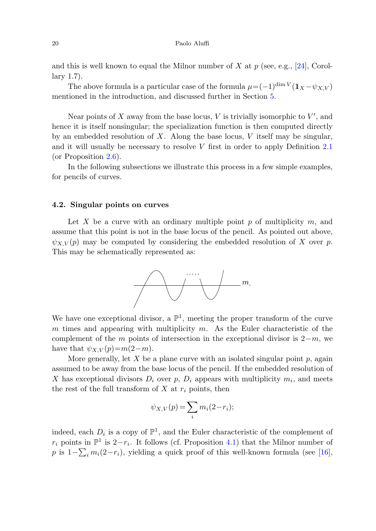#### 20 Paolo Aluffi

and this is well known to equal the Milnor number of X at p (see, e.g., [[24\]](#page-27-11), Corollary 1.7).

The above formula is a particular case of the formula  $\mu = (-1)^{\dim V} (\mathbf{1}_X - \psi_{X,V})$ mentioned in the introduction, and discussed further in Section [5](#page-23-0).

Near points of X away from the base locus, V is trivially isomorphic to  $V'$ , and hence it is itself nonsingular; the specialization function is then computed directly by an embedded resolution of X. Along the base locus, V itself may be singular, and it will usually be necessary to resolve V first in order to apply Definition [2.1](#page-5-0) (or Proposition [2.6](#page-8-0)).

<span id="page-19-0"></span>In the following subsections we illustrate this process in a few simple examples, for pencils of curves.

## **4.2. Singular points on curves**

Let X be a curve with an ordinary multiple point p of multiplicity  $m$ , and assume that this point is not in the base locus of the pencil. As pointed out above,  $\psi_{X,V}(p)$  may be computed by considering the embedded resolution of X over p. This may be schematically represented as:



We have one exceptional divisor, a  $\mathbb{P}^1$ , meeting the proper transform of the curve  $m$  times and appearing with multiplicity  $m$ . As the Euler characteristic of the complement of the m points of intersection in the exceptional divisor is  $2-m$ , we have that  $\psi_{X,V}(p)=m(2-m)$ .

More generally, let X be a plane curve with an isolated singular point  $p$ , again assumed to be away from the base locus of the pencil. If the embedded resolution of X has exceptional divisors  $D_i$  over p,  $D_i$  appears with multiplicity  $m_i$ , and meets the rest of the full transform of  $X$  at  $r_i$  points, then

$$
\psi_{X,V}(p) = \sum_i m_i (2 - r_i);
$$

indeed, each  $D_i$  is a copy of  $\mathbb{P}^1$ , and the Euler characteristic of the complement of  $r_i$  points in  $\mathbb{P}^1$  is 2− $r_i$ . It follows (cf. Proposition [4.1\)](#page-18-0) that the Milnor number of p is  $1-\sum_i m_i(2-r_i)$ , yielding a quick proof of this well-known formula (see [\[16](#page-26-20)],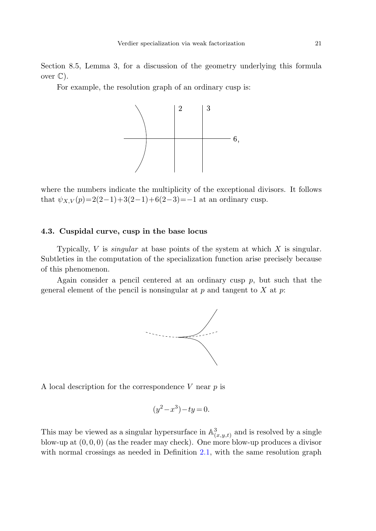Section 8.5, Lemma 3, for a discussion of the geometry underlying this formula over  $\mathbb{C}$ ).

For example, the resolution graph of an ordinary cusp is:



where the numbers indicate the multiplicity of the exceptional divisors. It follows that  $\psi_{X,V}(p)=2(2-1)+3(2-1)+6(2-3)=-1$  at an ordinary cusp.

## **4.3. Cuspidal curve, cusp in the base locus**

Typically,  $V$  is *singular* at base points of the system at which  $X$  is singular. Subtleties in the computation of the specialization function arise precisely because of this phenomenon.

Again consider a pencil centered at an ordinary cusp  $p$ , but such that the general element of the pencil is nonsingular at p and tangent to X at p.



A local description for the correspondence  $V$  near  $p$  is

$$
(y^2 - x^3) - ty = 0.
$$

This may be viewed as a singular hypersurface in  $\mathbb{A}^3_{(x,y,t)}$  and is resolved by a single blow-up at  $(0, 0, 0)$  (as the reader may check). One more blow-up produces a divisor with normal crossings as needed in Definition [2.1,](#page-5-0) with the same resolution graph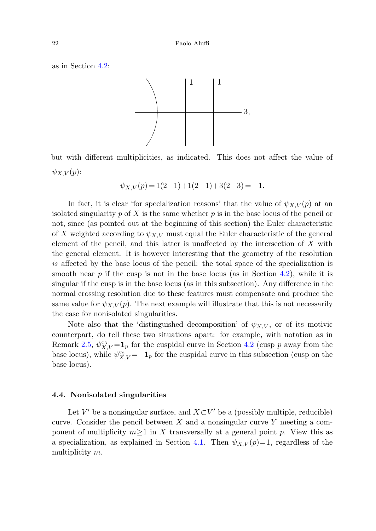as in Section [4.2](#page-19-0):



but with different multiplicities, as indicated. This does not affect the value of  $\psi_{X,V}(p)$ :

$$
\psi_{X,V}(p) = 1(2-1) + 1(2-1) + 3(2-3) = -1.
$$

In fact, it is clear 'for specialization reasons' that the value of  $\psi_{X,V}(p)$  at an isolated singularity p of X is the same whether p is in the base locus of the pencil or not, since (as pointed out at the beginning of this section) the Euler characteristic of X weighted according to  $\psi_{X,V}$  must equal the Euler characteristic of the general element of the pencil, and this latter is unaffected by the intersection of X with the general element. It is however interesting that the geometry of the resolution is affected by the base locus of the pencil: the total space of the specialization is smooth near  $p$  if the cusp is not in the base locus (as in Section [4.2\)](#page-19-0), while it is singular if the cusp is in the base locus (as in this subsection). Any difference in the normal crossing resolution due to these features must compensate and produce the same value for  $\psi_{X,V}(p)$ . The next example will illustrate that this is not necessarily the case for nonisolated singularities.

Note also that the 'distinguished decomposition' of  $\psi_{X,V}$ , or of its motivic counterpart, do tell these two situations apart: for example, with notation as in Remark [2.5,](#page-7-0)  $\psi_{X,V}^{\varepsilon_3} = \mathbf{1}_p$  for the cuspidal curve in Section [4.2](#page-19-0) (cusp p away from the base locus), while  $\psi_{X,V}^{\varepsilon_3} = -\mathbf{1}_p$  for the cuspidal curve in this subsection (cusp on the base locus).

## **4.4. Nonisolated singularities**

Let V' be a nonsingular surface, and  $X\subset V'$  be a (possibly multiple, reducible) curve. Consider the pencil between  $X$  and a nonsingular curve  $Y$  meeting a component of multiplicity  $m \geq 1$  in X transversally at a general point p. View this as a specialization, as explained in Section [4.1.](#page-17-1) Then  $\psi_{X,V}(p)=1$ , regardless of the multiplicity m.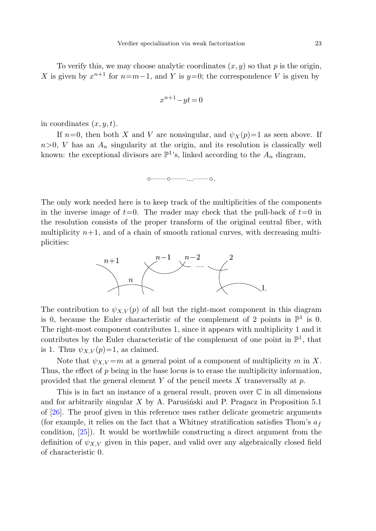To verify this, we may choose analytic coordinates  $(x, y)$  so that p is the origin, X is given by  $x^{n+1}$  for  $n=m-1$ , and Y is  $y=0$ ; the correspondence V is given by

$$
x^{n+1} - yt = 0
$$

in coordinates  $(x, y, t)$ .

If  $n=0$ , then both X and V are nonsingular, and  $\psi_X(p)=1$  as seen above. If  $n>0$ , V has an  $A_n$  singularity at the origin, and its resolution is classically well known: the exceptional divisors are  $\mathbb{P}^1$ 's, linked according to the  $A_n$  diagram,

◦——◦——...——◦.

The only work needed here is to keep track of the multiplicities of the components in the inverse image of  $t=0$ . The reader may check that the pull-back of  $t=0$  in the resolution consists of the proper transform of the original central fiber, with multiplicity  $n+1$ , and of a chain of smooth rational curves, with decreasing multiplicities:



The contribution to  $\psi_{X,V}(p)$  of all but the right-most component in this diagram is 0, because the Euler characteristic of the complement of 2 points in  $\mathbb{P}^1$  is 0. The right-most component contributes 1, since it appears with multiplicity 1 and it contributes by the Euler characteristic of the complement of one point in  $\mathbb{P}^1$ , that is 1. Thus  $\psi_{X,V}(p)=1$ , as claimed.

Note that  $\psi_{X,V} = m$  at a general point of a component of multiplicity m in X. Thus, the effect of p being in the base locus is to erase the multiplicity information, provided that the general element  $Y$  of the pencil meets  $X$  transversally at  $p$ .

This is in fact an instance of a general result, proven over  $\mathbb C$  in all dimensions and for arbitrarily singular  $X$  by A. Parusinski and P. Pragacz in Proposition 5.1 of [[26\]](#page-27-3). The proof given in this reference uses rather delicate geometric arguments (for example, it relies on the fact that a Whitney stratification satisfies Thom's  $a_f$ condition, [\[25](#page-27-12)]). It would be worthwhile constructing a direct argument from the definition of  $\psi_{X,V}$  given in this paper, and valid over any algebraically closed field of characteristic 0.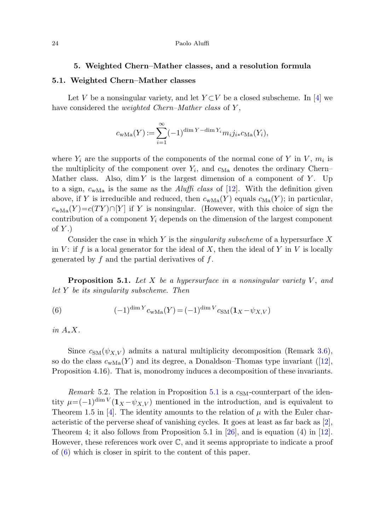#### **5. Weighted Chern–Mather classes, and a resolution formula**

## <span id="page-23-0"></span>**5.1. Weighted Chern–Mather classes**

Let V be a nonsingular variety, and let  $Y\subset V$  be a closed subscheme. In [[4\]](#page-26-2) we have considered the *weighted Chern–Mather class* of Y,

$$
c_{\text{wMa}}(Y) := \sum_{i=1}^{\infty} (-1)^{\dim Y - \dim Y_i} m_i j_{i*} c_{\text{Ma}}(Y_i),
$$

where  $Y_i$  are the supports of the components of the normal cone of Y in V,  $m_i$  is the multiplicity of the component over  $Y_i$ , and  $c_{Ma}$  denotes the ordinary Chern– Mather class. Also, dim Y is the largest dimension of a component of Y. Up to a sign,  $c_{\text{wMa}}$  is the same as the *Aluffi class* of [\[12](#page-26-3)]. With the definition given above, if Y is irreducible and reduced, then  $c_{\text{wMa}}(Y)$  equals  $c_{\text{Ma}}(Y)$ ; in particular,  $c_{\text{wMa}}(Y) = c(TY) \cap [Y]$  if Y is nonsingular. (However, with this choice of sign the contribution of a component  $Y_i$  depends on the dimension of the largest component of  $Y$ .)

<span id="page-23-2"></span><span id="page-23-1"></span>Consider the case in which  $Y$  is the *singularity subscheme* of a hypersurface  $X$ in V: if f is a local generator for the ideal of X, then the ideal of Y in V is locally generated by  $f$  and the partial derivatives of  $f$ .

**Proposition 5.1.** Let X be a hypersurface in a nonsingular variety  $V$ , and let Y be its singularity subscheme. Then

(6) 
$$
(-1)^{\dim Y} c_{\text{wMa}}(Y) = (-1)^{\dim V} c_{\text{SM}}(\mathbf{1}_X - \psi_{X,V})
$$

in  $A_*X$ .

Since  $c_{SM}(\psi_{X,V})$  admits a natural multiplicity decomposition (Remark [3.6\)](#page-14-0), so do the class  $c_{\text{wMa}}(Y)$  and its degree, a Donaldson–Thomas type invariant ([\[12](#page-26-3)], Proposition 4.16). That is, monodromy induces a decomposition of these invariants.

Remark 5.2. The relation in Proposition [5.1](#page-23-1) is a  $c_{\rm SM}$ -counterpart of the identity  $\mu=(-1)^{\dim V}(\mathbf{1}_X-\psi_{X,V})$  mentioned in the introduction, and is equivalent to Theorem 1.5 in [\[4](#page-26-2)]. The identity amounts to the relation of  $\mu$  with the Euler characteristic of the perverse sheaf of vanishing cycles. It goes at least as far back as  $[2]$  $[2]$ , Theorem 4; it also follows from Proposition 5.1 in [\[26](#page-27-3)], and is equation (4) in [\[12](#page-26-3)]. However, these references work over C, and it seems appropriate to indicate a proof of ([6\)](#page-23-2) which is closer in spirit to the content of this paper.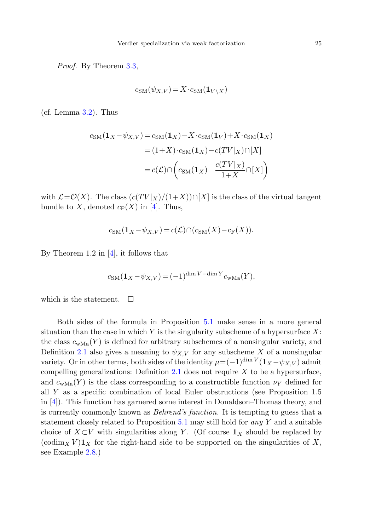Proof. By Theorem [3.3,](#page-12-0)

$$
c_{\text{SM}}(\psi_{X,V}) = X \cdot c_{\text{SM}}(\mathbf{1}_{V \setminus X})
$$

(cf. Lemma [3.2](#page-11-1)). Thus

$$
c_{\rm SM}(\mathbf{1}_X - \psi_{X,V}) = c_{\rm SM}(\mathbf{1}_X) - X \cdot c_{\rm SM}(\mathbf{1}_V) + X \cdot c_{\rm SM}(\mathbf{1}_X)
$$

$$
= (1+X) \cdot c_{\rm SM}(\mathbf{1}_X) - c(TV|_X) \cap [X]
$$

$$
= c(\mathcal{L}) \cap \left( c_{\rm SM}(\mathbf{1}_X) - \frac{c(TV|_X)}{1+X} \cap [X] \right)
$$

with  $\mathcal{L}=\mathcal{O}(X)$ . The class  $(c(TV|_X)/(1+X))\cap [X]$  is the class of the virtual tangent bundle to X, denoted  $c_F(X)$  in [[4\]](#page-26-2). Thus,

$$
c_{\text{SM}}(\mathbf{1}_X - \psi_{X,V}) = c(\mathcal{L}) \cap (c_{\text{SM}}(X) - c_{\text{F}}(X)).
$$

By Theorem 1.2 in [[4\]](#page-26-2), it follows that

$$
c_{\text{SM}}(\mathbf{1}_X - \psi_{X,V}) = (-1)^{\dim V - \dim Y} c_{\text{wMa}}(Y),
$$

which is the statement.  $\Box$ 

Both sides of the formula in Proposition [5.1](#page-23-1) make sense in a more general situation than the case in which  $Y$  is the singularity subscheme of a hypersurface  $X$ : the class  $c_{\text{wMa}}(Y)$  is defined for arbitrary subschemes of a nonsingular variety, and Definition [2.1](#page-5-0) also gives a meaning to  $\psi_{X,V}$  for any subscheme X of a nonsingular variety. Or in other terms, both sides of the identity  $\mu = (-1)^{\dim V} (\mathbf{1}_X - \psi_{X,V})$  admit compelling generalizations: Definition [2.1](#page-5-0) does not require  $X$  to be a hypersurface, and  $c_{\text{wMa}}(Y)$  is the class corresponding to a constructible function  $\nu_Y$  defined for all Y as a specific combination of local Euler obstructions (see Proposition 1.5 in [\[4](#page-26-2)]). This function has garnered some interest in Donaldson–Thomas theory, and is currently commonly known as Behrend's function. It is tempting to guess that a statement closely related to Proposition  $5.1$  may still hold for any Y and a suitable choice of  $X\subset V$  with singularities along Y. (Of course  $\mathbf{1}_X$  should be replaced by (codim<sub>X</sub> V) $\mathbf{1}_X$  for the right-hand side to be supported on the singularities of X, see Example [2.8.](#page-8-2))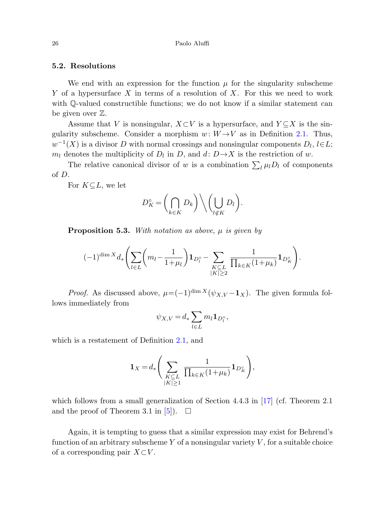## **5.2. Resolutions**

We end with an expression for the function  $\mu$  for the singularity subscheme Y of a hypersurface X in terms of a resolution of X. For this we need to work with Q-valued constructible functions; we do not know if a similar statement can be given over Z.

Assume that V is nonsingular,  $X\subset V$  is a hypersurface, and  $Y\subset X$  is the singularity subscheme. Consider a morphism  $w: W \rightarrow V$  as in Definition [2.1.](#page-5-0) Thus,  $w^{-1}(X)$  is a divisor D with normal crossings and nonsingular components  $D_l$ ,  $l\in L$ ;  $m_l$  denotes the multiplicity of  $D_l$  in D, and  $d: D \rightarrow X$  is the restriction of w.

The relative canonical divisor of w is a combination  $\sum_l \mu_l D_l$  of components of D.

For  $K\subseteq L$ , we let

$$
D_K^\circ = \left(\bigcap_{k \in K} D_k\right) \bigg\backslash \left(\bigcup_{l \notin K} D_l\right).
$$

**Proposition 5.3.** With notation as above,  $\mu$  is given by

$$
(-1)^{\dim X} d_* \left( \sum_{l \in L} \left( m_l - \frac{1}{1 + \mu_l} \right) \mathbf{1}_{D_l^{\circ}} - \sum_{\substack{K \subseteq L \\ |K| \geq 2}} \frac{1}{\prod_{k \in K} (1 + \mu_k)} \mathbf{1}_{D_K^{\circ}} \right).
$$

*Proof.* As discussed above,  $\mu = (-1)^{\dim X}(\psi_{X,V} - \mathbf{1}_X)$ . The given formula follows immediately from

$$
\psi_{X,V} = d_* \sum_{l \in L} m_l \mathbf{1}_{D_l^\circ},
$$

which is a restatement of Definition [2.1](#page-5-0), and

$$
\mathbf{1}_X = d_* \Bigg( \sum_{\substack{K \subseteq L \\ |K| \geq 1}} \frac{1}{\prod_{k \in K} (1 + \mu_k)} \mathbf{1}_{D_K^{\circ}} \Bigg),
$$

which follows from a small generalization of Section 4.4.3 in [\[17](#page-26-4)] (cf. Theorem 2.1) and the proof of Theorem 3.1 in [\[5](#page-26-13)]).  $\Box$ 

Again, it is tempting to guess that a similar expression may exist for Behrend's function of an arbitrary subscheme Y of a nonsingular variety  $V$ , for a suitable choice of a corresponding pair  $X\subset V$ .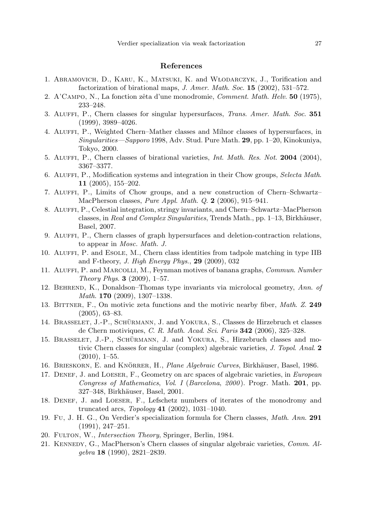## **References**

- <span id="page-26-17"></span><span id="page-26-13"></span><span id="page-26-2"></span><span id="page-26-1"></span><span id="page-26-0"></span>1. ABRAMOVICH, D., KARU, K., MATSUKI, K. and WŁODARCZYK, J., Torification and factorization of birational maps, J. Amer. Math. Soc. **15** (2002), 531–572.
- <span id="page-26-6"></span>2. A'Campo, N., La fonction zˆeta d'une monodromie, Comment. Math. Helv. **50** (1975), 233–248.
- <span id="page-26-12"></span>3. Aluffi, P., Chern classes for singular hypersurfaces, Trans. Amer. Math. Soc. **351** (1999), 3989–4026.
- <span id="page-26-7"></span>4. Aluffi, P., Weighted Chern–Mather classes and Milnor classes of hypersurfaces, in Singularities—Sapporo 1998, Adv. Stud. Pure Math. **29**, pp. 1–20, Kinokuniya, Tokyo, 2000.
- <span id="page-26-10"></span>5. Aluffi, P., Chern classes of birational varieties, Int. Math. Res. Not. **2004** (2004), 3367–3377.
- <span id="page-26-9"></span>6. ALUFFI, P., Modification systems and integration in their Chow groups, Selecta Math. **11** (2005), 155–202.
- <span id="page-26-19"></span>7. Aluffi, P., Limits of Chow groups, and a new construction of Chern–Schwartz– MacPherson classes, Pure Appl. Math. Q. **2** (2006), 915–941.
- <span id="page-26-3"></span>8. Aluffi, P., Celestial integration, stringy invariants, and Chern–Schwartz–MacPherson classes, in Real and Complex Singularities, Trends Math., pp. 1–13, Birkhäuser, Basel, 2007.
- <span id="page-26-16"></span>9. Aluffi, P., Chern classes of graph hypersurfaces and deletion-contraction relations, to appear in Mosc. Math. J.
- <span id="page-26-15"></span>10. Aluffi, P. and Esole, M., Chern class identities from tadpole matching in type IIB and F-theory, J. High Energy Phys., **29** (2009), 032
- <span id="page-26-5"></span>11. Aluffi, P. and Marcolli, M., Feynman motives of banana graphs, Commun. Number Theory Phys. **3** (2009), 1–57.
- <span id="page-26-20"></span>12. Behrend, K., Donaldson–Thomas type invariants via microlocal geometry, Ann. of Math. **170** (2009), 1307–1338.
- <span id="page-26-4"></span>13. Bittner, F., On motivic zeta functions and the motivic nearby fiber, Math. Z. **249** (2005), 63–83.
- <span id="page-26-14"></span>14. BRASSELET, J.-P., SCHÜRMANN, J. and YOKURA, S., Classes de Hirzebruch et classes de Chern motiviques, C. R. Math. Acad. Sci. Paris **342** (2006), 325–328.
- <span id="page-26-8"></span>15. BRASSELET, J.-P., SCHÜRMANN, J. and YOKURA, S., Hirzebruch classes and motivic Chern classes for singular (complex) algebraic varieties, J. Topol. Anal. **2**  $(2010), 1-55.$
- <span id="page-26-18"></span>16. BRIESKORN, E. and KNÖRRER, H., Plane Algebraic Curves, Birkhäuser, Basel, 1986.
- <span id="page-26-11"></span>17. DENEF, J. and LOESER, F., Geometry on arc spaces of algebraic varieties, in European Congress of Mathematics, Vol. I (Barcelona, 2000 ). Progr. Math. **201**, pp. 327–348, Birkhäuser, Basel, 2001.
- 18. Denef, J. and Loeser, F., Lefschetz numbers of iterates of the monodromy and truncated arcs, Topology **41** (2002), 1031–1040.
- 19. Fu, J. H. G., On Verdier's specialization formula for Chern classes, Math. Ann. **291** (1991), 247–251.
- 20. FULTON, W., Intersection Theory, Springer, Berlin, 1984.
- 21. Kennedy, G., MacPherson's Chern classes of singular algebraic varieties, Comm. Algebra **18** (1990), 2821–2839.